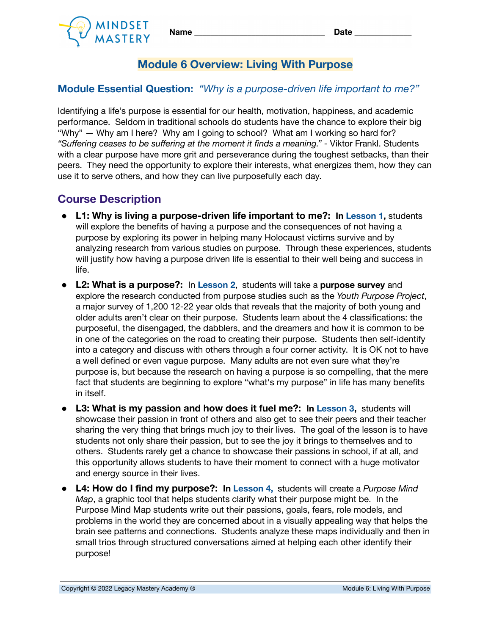



## **Module 6 Overview: Living With Purpose**

## **Module Essential Question:** *"Why is a purpose-driven life important to me?"*

Identifying a life's purpose is essential for our health, motivation, happiness, and academic performance. Seldom in traditional schools do students have the chance to explore their big "Why" — Why am I here? Why am I going to school? What am I working so hard for? *"Suffering ceases to be suffering at the moment it finds a meaning."* - Viktor Frankl. Students with a clear purpose have more grit and perseverance during the toughest setbacks, than their peers. They need the opportunity to explore their interests, what energizes them, how they can use it to serve others, and how they can live purposefully each day.

## **Course Description**

- **● L1: Why is living a purpose-driven life important to me?: In Lesson 1,** students will explore the benefits of having a purpose and the consequences of not having a purpose by exploring its power in helping many Holocaust victims survive and by analyzing research from various studies on purpose. Through these experiences, students will justify how having a purpose driven life is essential to their well being and success in life.
- **● L2: What is a purpose?:** In **Lesson 2**, students will take a **purpose survey** and explore the research conducted from purpose studies such as the *Youth Purpose Project*, a major survey of 1,200 12-22 year olds that reveals that the majority of both young and older adults aren't clear on their purpose. Students learn about the 4 classifications: the purposeful, the disengaged, the dabblers, and the dreamers and how it is common to be in one of the categories on the road to creating their purpose. Students then self-identify into a category and discuss with others through a four corner activity. It is OK not to have a well defined or even vague purpose. Many adults are not even sure what they're purpose is, but because the research on having a purpose is so compelling, that the mere fact that students are beginning to explore "what's my purpose" in life has many benefits in itself.
- **● L3: What is my passion and how does it fuel me?: In Lesson 3,** students will showcase their passion in front of others and also get to see their peers and their teacher sharing the very thing that brings much joy to their lives. The goal of the lesson is to have students not only share their passion, but to see the joy it brings to themselves and to others. Students rarely get a chance to showcase their passions in school, if at all, and this opportunity allows students to have their moment to connect with a huge motivator and energy source in their lives.
- **● L4: How do I find my purpose?: In Lesson 4,** students will create a *Purpose Mind Map*, a graphic tool that helps students clarify what their purpose might be. In the Purpose Mind Map students write out their passions, goals, fears, role models, and problems in the world they are concerned about in a visually appealing way that helps the brain see patterns and connections. Students analyze these maps individually and then in small trios through structured conversations aimed at helping each other identify their purpose!